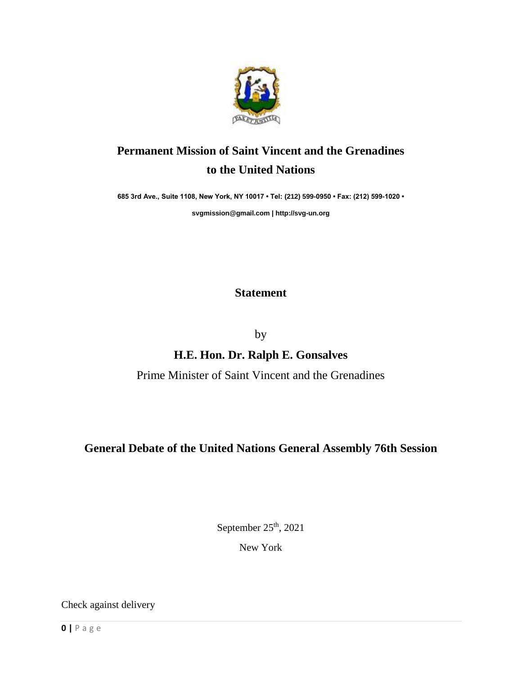

## **Permanent Mission of Saint Vincent and the Grenadines to the United Nations**

**685 3rd Ave., Suite 1108, New York, NY 10017 • Tel: (212) 599-0950 • Fax: (212) 599-1020 •** 

**[svgmission@gmail.com](mailto:svgmission@gmail.com) [| http://svg-un.org](http://svg-un.org/)**

## **Statement**

by

## **H.E. Hon. Dr. Ralph E. Gonsalves**

Prime Minister of Saint Vincent and the Grenadines

## **General Debate of the United Nations General Assembly 76th Session**

September 25<sup>th</sup>, 2021

New York

Check against delivery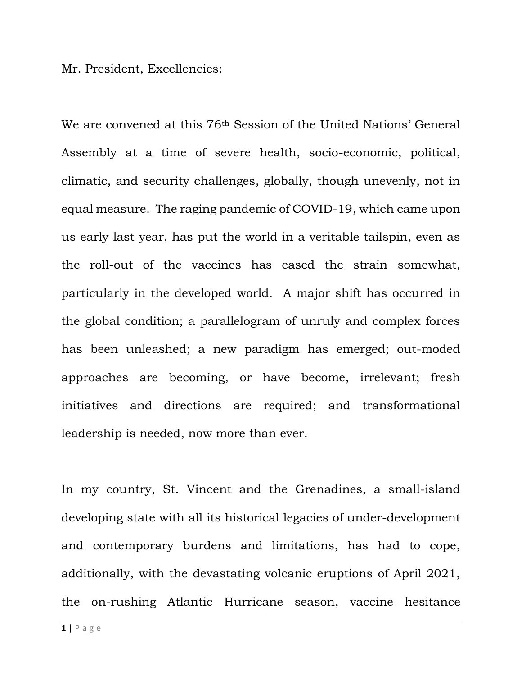Mr. President, Excellencies:

We are convened at this 76th Session of the United Nations' General Assembly at a time of severe health, socio-economic, political, climatic, and security challenges, globally, though unevenly, not in equal measure. The raging pandemic of COVID-19, which came upon us early last year, has put the world in a veritable tailspin, even as the roll-out of the vaccines has eased the strain somewhat, particularly in the developed world. A major shift has occurred in the global condition; a parallelogram of unruly and complex forces has been unleashed; a new paradigm has emerged; out-moded approaches are becoming, or have become, irrelevant; fresh initiatives and directions are required; and transformational leadership is needed, now more than ever.

In my country, St. Vincent and the Grenadines, a small-island developing state with all its historical legacies of under-development and contemporary burdens and limitations, has had to cope, additionally, with the devastating volcanic eruptions of April 2021, the on-rushing Atlantic Hurricane season, vaccine hesitance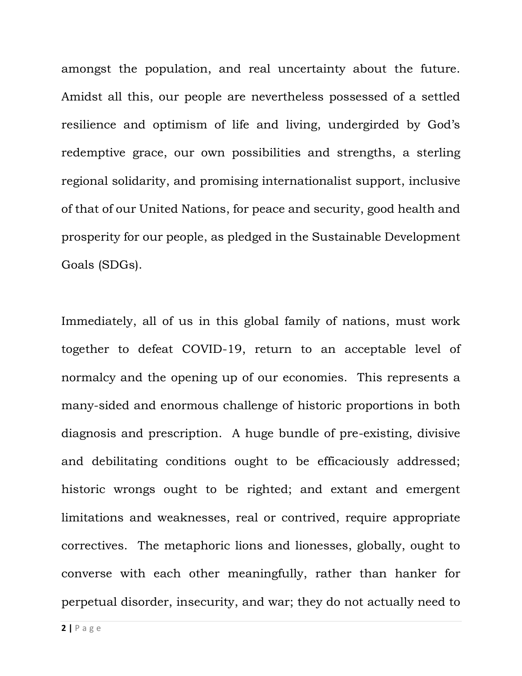amongst the population, and real uncertainty about the future. Amidst all this, our people are nevertheless possessed of a settled resilience and optimism of life and living, undergirded by God's redemptive grace, our own possibilities and strengths, a sterling regional solidarity, and promising internationalist support, inclusive of that of our United Nations, for peace and security, good health and prosperity for our people, as pledged in the Sustainable Development Goals (SDGs).

Immediately, all of us in this global family of nations, must work together to defeat COVID-19, return to an acceptable level of normalcy and the opening up of our economies. This represents a many-sided and enormous challenge of historic proportions in both diagnosis and prescription. A huge bundle of pre-existing, divisive and debilitating conditions ought to be efficaciously addressed; historic wrongs ought to be righted; and extant and emergent limitations and weaknesses, real or contrived, require appropriate correctives. The metaphoric lions and lionesses, globally, ought to converse with each other meaningfully, rather than hanker for perpetual disorder, insecurity, and war; they do not actually need to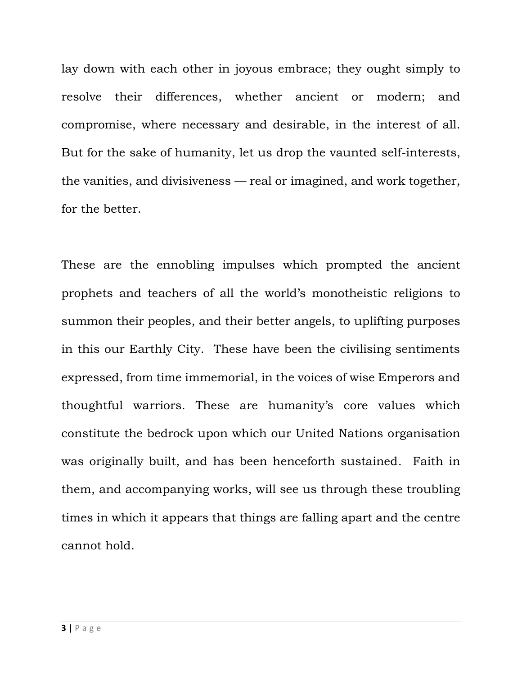lay down with each other in joyous embrace; they ought simply to resolve their differences, whether ancient or modern; and compromise, where necessary and desirable, in the interest of all. But for the sake of humanity, let us drop the vaunted self-interests, the vanities, and divisiveness — real or imagined, and work together, for the better.

These are the ennobling impulses which prompted the ancient prophets and teachers of all the world's monotheistic religions to summon their peoples, and their better angels, to uplifting purposes in this our Earthly City. These have been the civilising sentiments expressed, from time immemorial, in the voices of wise Emperors and thoughtful warriors. These are humanity's core values which constitute the bedrock upon which our United Nations organisation was originally built, and has been henceforth sustained. Faith in them, and accompanying works, will see us through these troubling times in which it appears that things are falling apart and the centre cannot hold.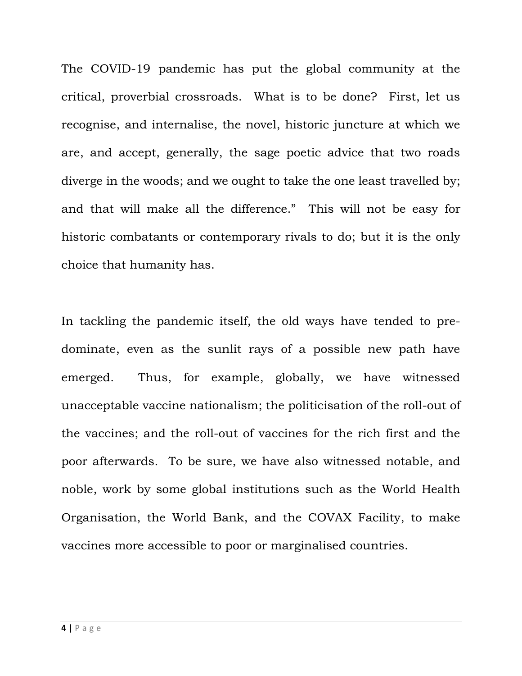The COVID-19 pandemic has put the global community at the critical, proverbial crossroads. What is to be done? First, let us recognise, and internalise, the novel, historic juncture at which we are, and accept, generally, the sage poetic advice that two roads diverge in the woods; and we ought to take the one least travelled by; and that will make all the difference." This will not be easy for historic combatants or contemporary rivals to do; but it is the only choice that humanity has.

In tackling the pandemic itself, the old ways have tended to predominate, even as the sunlit rays of a possible new path have emerged. Thus, for example, globally, we have witnessed unacceptable vaccine nationalism; the politicisation of the roll-out of the vaccines; and the roll-out of vaccines for the rich first and the poor afterwards. To be sure, we have also witnessed notable, and noble, work by some global institutions such as the World Health Organisation, the World Bank, and the COVAX Facility, to make vaccines more accessible to poor or marginalised countries.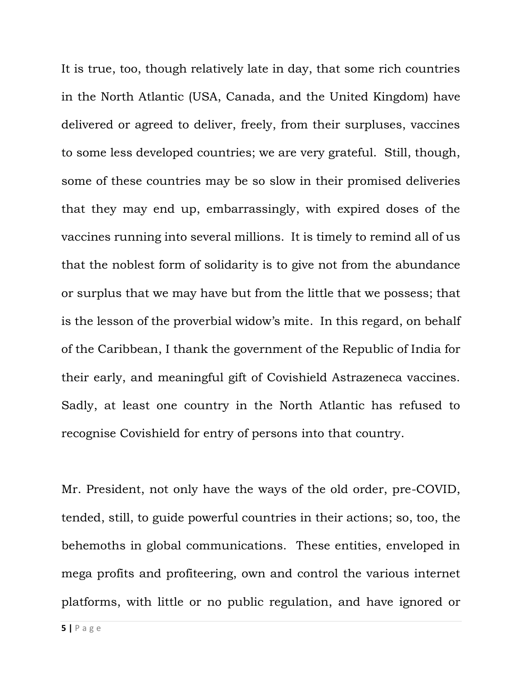It is true, too, though relatively late in day, that some rich countries in the North Atlantic (USA, Canada, and the United Kingdom) have delivered or agreed to deliver, freely, from their surpluses, vaccines to some less developed countries; we are very grateful. Still, though, some of these countries may be so slow in their promised deliveries that they may end up, embarrassingly, with expired doses of the vaccines running into several millions. It is timely to remind all of us that the noblest form of solidarity is to give not from the abundance or surplus that we may have but from the little that we possess; that is the lesson of the proverbial widow's mite. In this regard, on behalf of the Caribbean, I thank the government of the Republic of India for their early, and meaningful gift of Covishield Astrazeneca vaccines. Sadly, at least one country in the North Atlantic has refused to recognise Covishield for entry of persons into that country.

Mr. President, not only have the ways of the old order, pre-COVID, tended, still, to guide powerful countries in their actions; so, too, the behemoths in global communications. These entities, enveloped in mega profits and profiteering, own and control the various internet platforms, with little or no public regulation, and have ignored or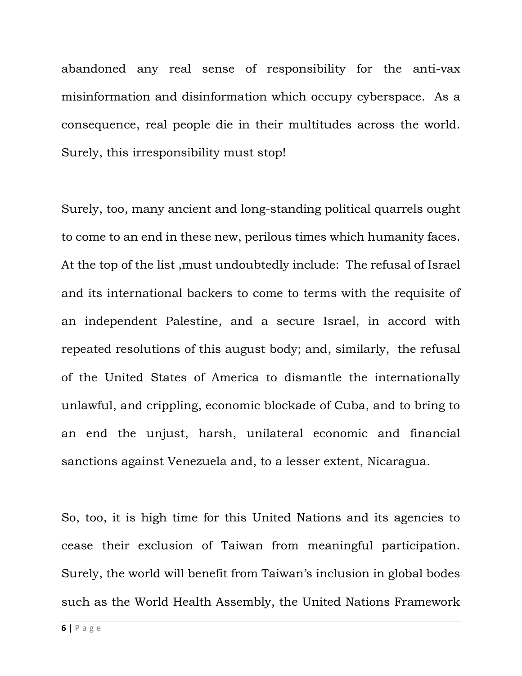abandoned any real sense of responsibility for the anti-vax misinformation and disinformation which occupy cyberspace. As a consequence, real people die in their multitudes across the world. Surely, this irresponsibility must stop!

Surely, too, many ancient and long-standing political quarrels ought to come to an end in these new, perilous times which humanity faces. At the top of the list ,must undoubtedly include: The refusal of Israel and its international backers to come to terms with the requisite of an independent Palestine, and a secure Israel, in accord with repeated resolutions of this august body; and, similarly, the refusal of the United States of America to dismantle the internationally unlawful, and crippling, economic blockade of Cuba, and to bring to an end the unjust, harsh, unilateral economic and financial sanctions against Venezuela and, to a lesser extent, Nicaragua.

So, too, it is high time for this United Nations and its agencies to cease their exclusion of Taiwan from meaningful participation. Surely, the world will benefit from Taiwan's inclusion in global bodes such as the World Health Assembly, the United Nations Framework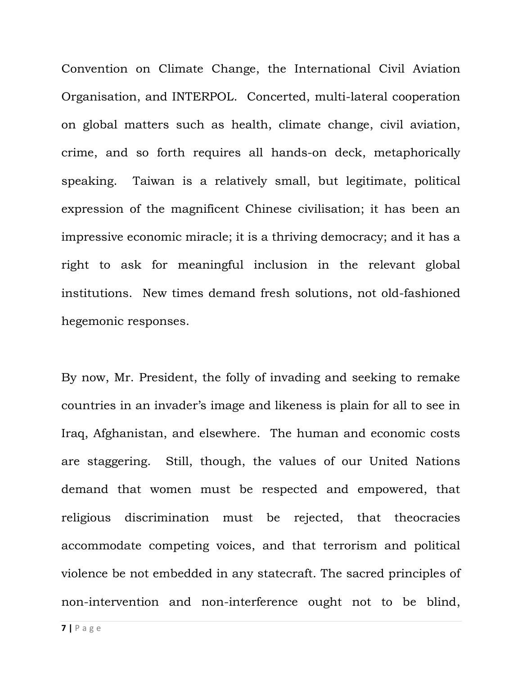Convention on Climate Change, the International Civil Aviation Organisation, and INTERPOL. Concerted, multi-lateral cooperation on global matters such as health, climate change, civil aviation, crime, and so forth requires all hands-on deck, metaphorically speaking. Taiwan is a relatively small, but legitimate, political expression of the magnificent Chinese civilisation; it has been an impressive economic miracle; it is a thriving democracy; and it has a right to ask for meaningful inclusion in the relevant global institutions. New times demand fresh solutions, not old-fashioned hegemonic responses.

By now, Mr. President, the folly of invading and seeking to remake countries in an invader's image and likeness is plain for all to see in Iraq, Afghanistan, and elsewhere. The human and economic costs are staggering. Still, though, the values of our United Nations demand that women must be respected and empowered, that religious discrimination must be rejected, that theocracies accommodate competing voices, and that terrorism and political violence be not embedded in any statecraft. The sacred principles of non-intervention and non-interference ought not to be blind,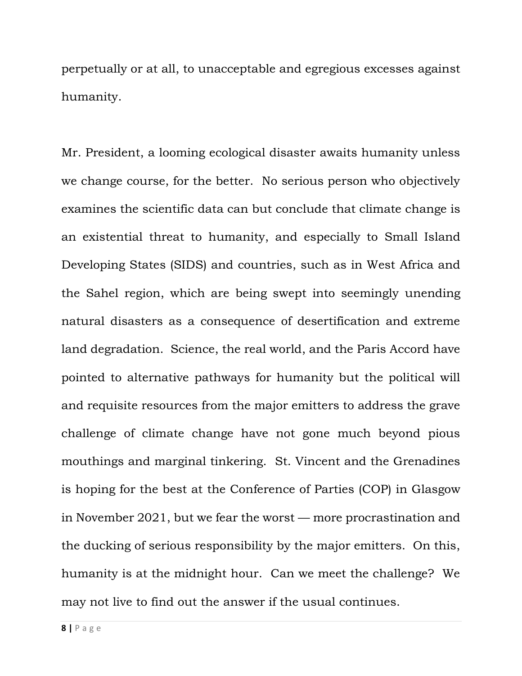perpetually or at all, to unacceptable and egregious excesses against humanity.

Mr. President, a looming ecological disaster awaits humanity unless we change course, for the better. No serious person who objectively examines the scientific data can but conclude that climate change is an existential threat to humanity, and especially to Small Island Developing States (SIDS) and countries, such as in West Africa and the Sahel region, which are being swept into seemingly unending natural disasters as a consequence of desertification and extreme land degradation. Science, the real world, and the Paris Accord have pointed to alternative pathways for humanity but the political will and requisite resources from the major emitters to address the grave challenge of climate change have not gone much beyond pious mouthings and marginal tinkering. St. Vincent and the Grenadines is hoping for the best at the Conference of Parties (COP) in Glasgow in November 2021, but we fear the worst — more procrastination and the ducking of serious responsibility by the major emitters. On this, humanity is at the midnight hour. Can we meet the challenge? We may not live to find out the answer if the usual continues.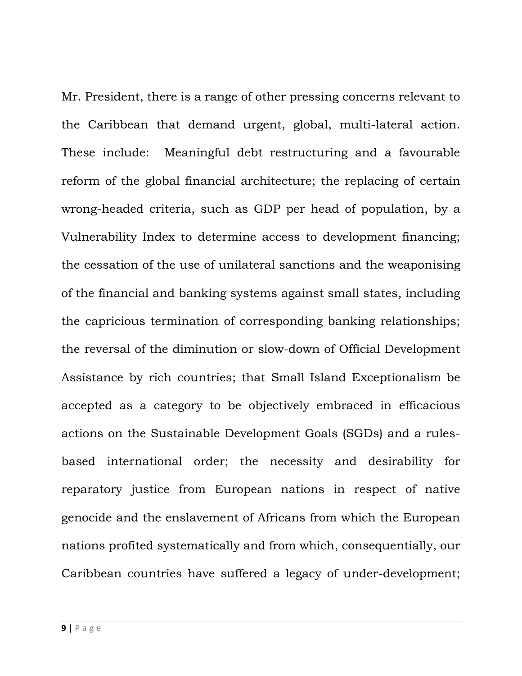Mr. President, there is a range of other pressing concerns relevant to the Caribbean that demand urgent, global, multi-lateral action. These include: Meaningful debt restructuring and a favourable reform of the global financial architecture; the replacing of certain wrong-headed criteria, such as GDP per head of population, by a Vulnerability Index to determine access to development financing; the cessation of the use of unilateral sanctions and the weaponising of the financial and banking systems against small states, including the capricious termination of corresponding banking relationships; the reversal of the diminution or slow-down of Official Development Assistance by rich countries; that Small Island Exceptionalism be accepted as a category to be objectively embraced in efficacious actions on the Sustainable Development Goals (SGDs) and a rulesbased international order; the necessity and desirability for reparatory justice from European nations in respect of native genocide and the enslavement of Africans from which the European nations profited systematically and from which, consequentially, our Caribbean countries have suffered a legacy of under-development;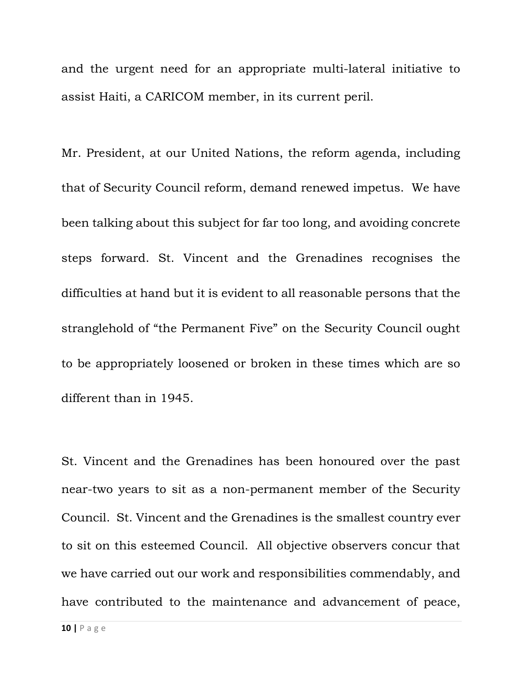and the urgent need for an appropriate multi-lateral initiative to assist Haiti, a CARICOM member, in its current peril.

Mr. President, at our United Nations, the reform agenda, including that of Security Council reform, demand renewed impetus. We have been talking about this subject for far too long, and avoiding concrete steps forward. St. Vincent and the Grenadines recognises the difficulties at hand but it is evident to all reasonable persons that the stranglehold of "the Permanent Five" on the Security Council ought to be appropriately loosened or broken in these times which are so different than in 1945.

St. Vincent and the Grenadines has been honoured over the past near-two years to sit as a non-permanent member of the Security Council. St. Vincent and the Grenadines is the smallest country ever to sit on this esteemed Council. All objective observers concur that we have carried out our work and responsibilities commendably, and have contributed to the maintenance and advancement of peace,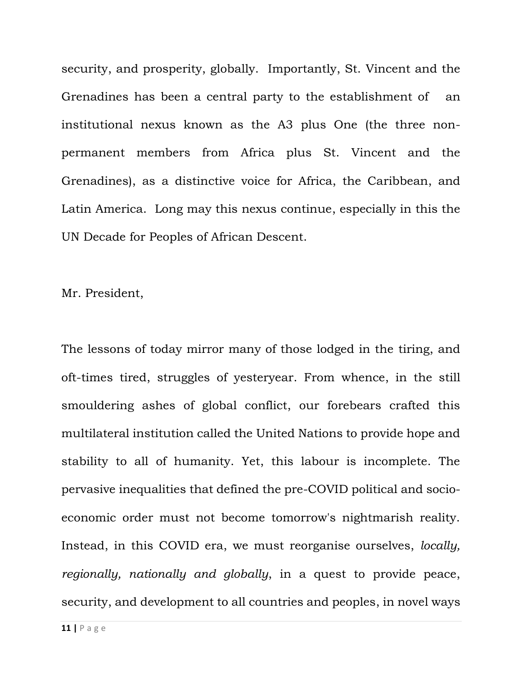security, and prosperity, globally. Importantly, St. Vincent and the Grenadines has been a central party to the establishment of an institutional nexus known as the A3 plus One (the three nonpermanent members from Africa plus St. Vincent and the Grenadines), as a distinctive voice for Africa, the Caribbean, and Latin America. Long may this nexus continue, especially in this the UN Decade for Peoples of African Descent.

Mr. President,

The lessons of today mirror many of those lodged in the tiring, and oft-times tired, struggles of yesteryear. From whence, in the still smouldering ashes of global conflict, our forebears crafted this multilateral institution called the United Nations to provide hope and stability to all of humanity. Yet, this labour is incomplete. The pervasive inequalities that defined the pre-COVID political and socioeconomic order must not become tomorrow's nightmarish reality. Instead, in this COVID era, we must reorganise ourselves, *locally, regionally, nationally and globally*, in a quest to provide peace, security, and development to all countries and peoples, in novel ways